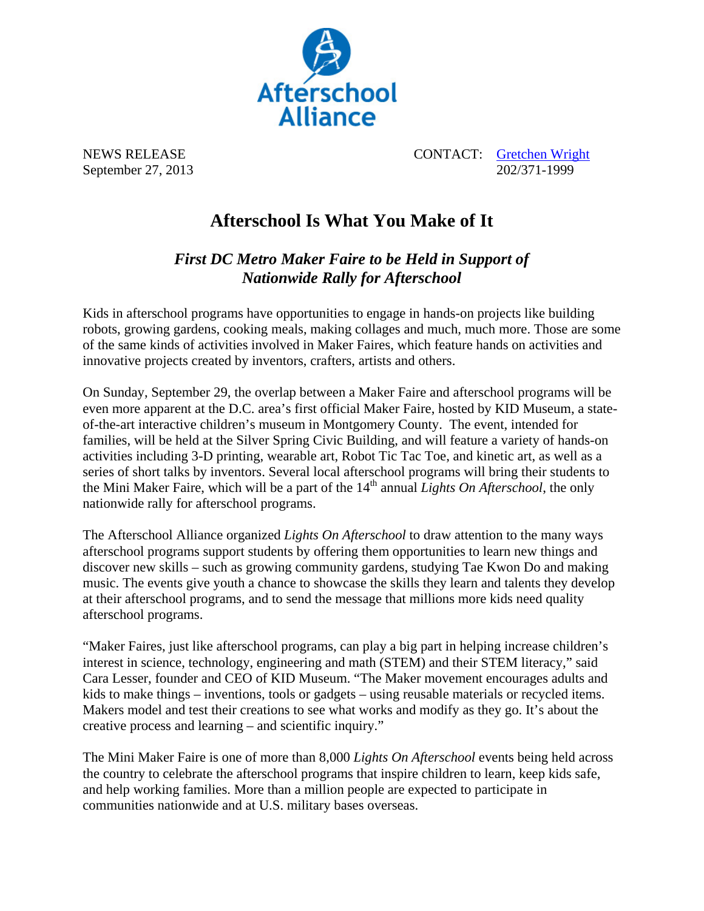

NEWS RELEASE CONTACT: Gretchen Wright September 27, 2013 202/371-1999

## **Afterschool Is What You Make of It**

*First DC Metro Maker Faire to be Held in Support of Nationwide Rally for Afterschool* 

Kids in afterschool programs have opportunities to engage in hands-on projects like building robots, growing gardens, cooking meals, making collages and much, much more. Those are some of the same kinds of activities involved in Maker Faires, which feature hands on activities and innovative projects created by inventors, crafters, artists and others.

On Sunday, September 29, the overlap between a Maker Faire and afterschool programs will be even more apparent at the D.C. area's first official Maker Faire, hosted by KID Museum, a stateof-the-art interactive children's museum in Montgomery County. The event, intended for families, will be held at the Silver Spring Civic Building, and will feature a variety of hands-on activities including 3-D printing, wearable art, Robot Tic Tac Toe, and kinetic art, as well as a series of short talks by inventors. Several local afterschool programs will bring their students to the Mini Maker Faire, which will be a part of the 14<sup>th</sup> annual *Lights On Afterschool*, the only nationwide rally for afterschool programs.

The Afterschool Alliance organized *Lights On Afterschool* to draw attention to the many ways afterschool programs support students by offering them opportunities to learn new things and discover new skills – such as growing community gardens, studying Tae Kwon Do and making music. The events give youth a chance to showcase the skills they learn and talents they develop at their afterschool programs, and to send the message that millions more kids need quality afterschool programs.

"Maker Faires, just like afterschool programs, can play a big part in helping increase children's interest in science, technology, engineering and math (STEM) and their STEM literacy," said Cara Lesser, founder and CEO of KID Museum. "The Maker movement encourages adults and kids to make things – inventions, tools or gadgets – using reusable materials or recycled items. Makers model and test their creations to see what works and modify as they go. It's about the creative process and learning – and scientific inquiry."

The Mini Maker Faire is one of more than 8,000 *Lights On Afterschool* events being held across the country to celebrate the afterschool programs that inspire children to learn, keep kids safe, and help working families. More than a million people are expected to participate in communities nationwide and at U.S. military bases overseas.